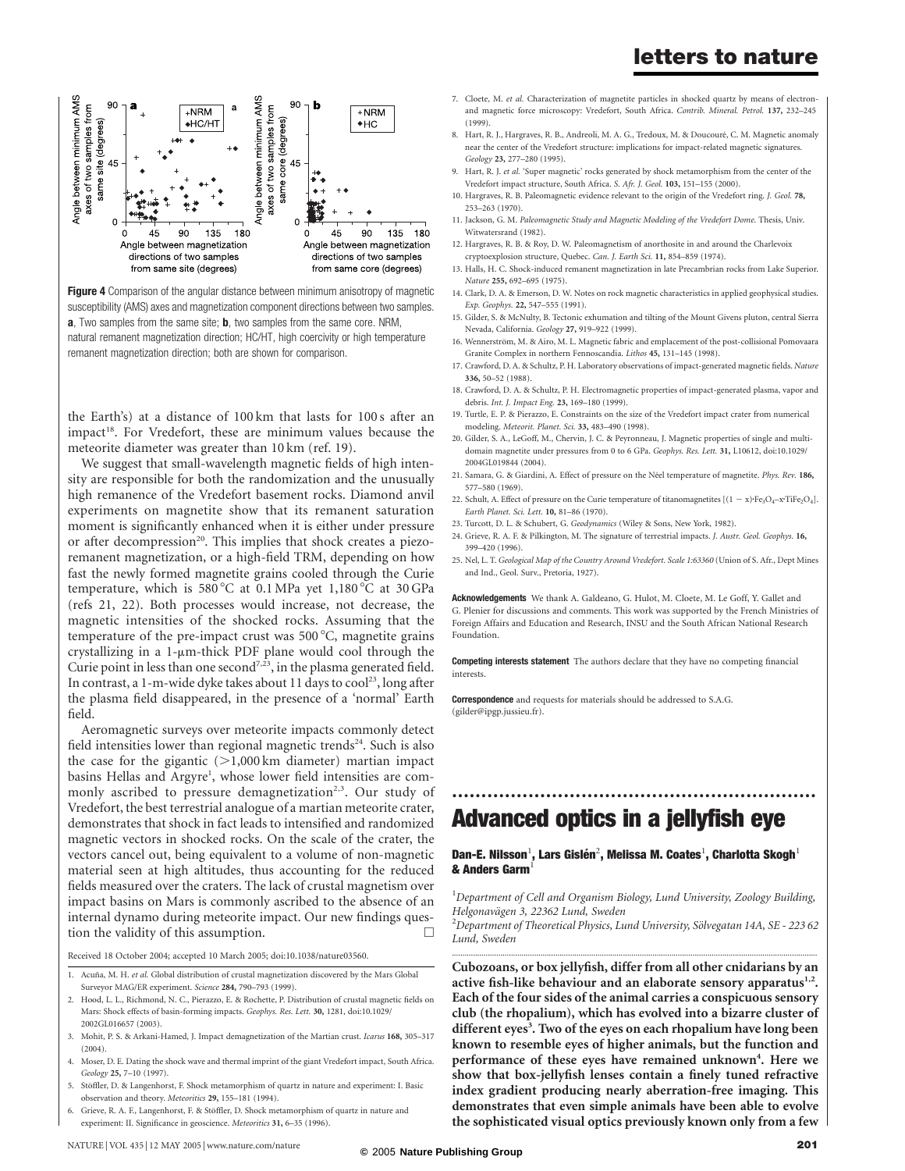

Figure 4 Comparison of the angular distance between minimum anisotropy of magnetic susceptibility (AMS) axes and magnetization component directions between two samples. a, Two samples from the same site; **b**, two samples from the same core. NRM, natural remanent magnetization direction; HC/HT, high coercivity or high temperature remanent magnetization direction; both are shown for comparison.

the Earth's) at a distance of 100 km that lasts for 100 s after an impact<sup>18</sup>. For Vredefort, these are minimum values because the meteorite diameter was greater than 10 km (ref. 19).

We suggest that small-wavelength magnetic fields of high intensity are responsible for both the randomization and the unusually high remanence of the Vredefort basement rocks. Diamond anvil experiments on magnetite show that its remanent saturation moment is significantly enhanced when it is either under pressure or after decompression<sup>20</sup>. This implies that shock creates a piezoremanent magnetization, or a high-field TRM, depending on how fast the newly formed magnetite grains cooled through the Curie temperature, which is  $580^{\circ}$ C at 0.1 MPa yet 1,180 °C at 30 GPa (refs 21, 22). Both processes would increase, not decrease, the magnetic intensities of the shocked rocks. Assuming that the temperature of the pre-impact crust was  $500\,^{\circ}\text{C}$ , magnetite grains crystallizing in a 1- $\mu$ m-thick PDF plane would cool through the Curie point in less than one second<sup>7,23</sup>, in the plasma generated field. In contrast, a 1-m-wide dyke takes about 11 days to  $\text{cool}^{23}$ , long after the plasma field disappeared, in the presence of a 'normal' Earth field.

Aeromagnetic surveys over meteorite impacts commonly detect field intensities lower than regional magnetic trends<sup>24</sup>. Such is also the case for the gigantic  $(>1,000 \text{ km}$  diameter) martian impact basins Hellas and Argyre<sup>1</sup>, whose lower field intensities are commonly ascribed to pressure demagnetization<sup>2,3</sup>. Our study of Vredefort, the best terrestrial analogue of a martian meteorite crater, demonstrates that shock in fact leads to intensified and randomized magnetic vectors in shocked rocks. On the scale of the crater, the vectors cancel out, being equivalent to a volume of non-magnetic material seen at high altitudes, thus accounting for the reduced fields measured over the craters. The lack of crustal magnetism over impact basins on Mars is commonly ascribed to the absence of an internal dynamo during meteorite impact. Our new findings question the validity of this assumption.  $\Box$ 

Received 18 October 2004; accepted 10 March 2005; doi:10.1038/nature03560.

- Acuña, M. H. et al. Global distribution of crustal magnetization discovered by the Mars Global Surveyor MAG/ER experiment. Science 284, 790-793 (1999).
- 2. Hood, L. L., Richmond, N. C., Pierazzo, E. & Rochette, P. Distribution of crustal magnetic fields on Mars: Shock effects of basin-forming impacts. Geophys. Res. Lett. 30, 1281, doi:10.1029/ 2002GL016657 (2003).
- 3. Mohit, P. S. & Arkani-Hamed, J. Impact demagnetization of the Martian crust. Icarus 168, 305–317 (2004).
- 4. Moser, D. E. Dating the shock wave and thermal imprint of the giant Vredefort impact, South Africa. Geology 25, 7–10 (1997).
- 5. Stöffler, D. & Langenhorst, F. Shock metamorphism of quartz in nature and experiment: I. Basic observation and theory. Meteoritics 29, 155–181 (1994).
- 6. Grieve, R. A. F., Langenhorst, F. & Stöffler, D. Shock metamorphism of quartz in nature and experiment: II. Significance in geoscience. Meteoritics 31, 6-35 (1996).
- 7. Cloete, M. et al. Characterization of magnetite particles in shocked quartz by means of electronand magnetic force microscopy: Vredefort, South Africa. Contrib. Mineral. Petrol. 137, 232–245 (1999).
- 8. Hart, R. J., Hargraves, R. B., Andreoli, M. A. G., Tredoux, M. & Doucouré, C. M. Magnetic anomaly near the center of the Vredefort structure: implications for impact-related magnetic signatures. Geology 23, 277–280 (1995).
- 9. Hart, R. J. et al. 'Super magnetic' rocks generated by shock metamorphism from the center of the Vredefort impact structure, South Africa. S. Afr. J. Geol. 103, 151–155 (2000).
- 10. Hargraves, R. B. Paleomagnetic evidence relevant to the origin of the Vredefort ring. J. Geol. 78, 253–263 (1970).
- 11. Jackson, G. M. Paleomagnetic Study and Magnetic Modeling of the Vredefort Dome. Thesis, Univ. Witwatersrand (1982).
- 12. Hargraves, R. B. & Roy, D. W. Paleomagnetism of anorthosite in and around the Charlevoix cryptoexplosion structure, Quebec. Can. J. Earth Sci. 11, 854–859 (1974).
- 13. Halls, H. C. Shock-induced remanent magnetization in late Precambrian rocks from Lake Superior. Nature 255, 692–695 (1975).
- 14. Clark, D. A. & Emerson, D. W. Notes on rock magnetic characteristics in applied geophysical studies. Exp. Geophys. 22, 547–555 (1991).
- 15. Gilder, S. & McNulty, B. Tectonic exhumation and tilting of the Mount Givens pluton, central Sierra Nevada, California. Geology 27, 919–922 (1999).
- 16. Wennerström, M. & Airo, M. L. Magnetic fabric and emplacement of the post-collisional Pomovaara Granite Complex in northern Fennoscandia. Lithos 45, 131–145 (1998).
- 17. Crawford, D. A. & Schultz, P. H. Laboratory observations of impact-generated magnetic fields. Nature 336, 50–52 (1988).
- 18. Crawford, D. A. & Schultz, P. H. Electromagnetic properties of impact-generated plasma, vapor and debris. Int. J. Impact Eng. 23, 169–180 (1999).
- 19. Turtle, E. P. & Pierazzo, E. Constraints on the size of the Vredefort impact crater from numerical modeling. Meteorit. Planet. Sci. 33, 483–490 (1998).
- 20. Gilder, S. A., LeGoff, M., Chervin, J. C. & Peyronneau, J. Magnetic properties of single and multidomain magnetite under pressures from 0 to 6 GPa. Geophys. Res. Lett. 31, L10612, doi:10.1029/ 2004GL019844 (2004).
- 21. Samara, G. & Giardini, A. Effect of pressure on the Néel temperature of magnetite. Phys. Rev. 186, 577–580 (1969).
- 22. Schult, A. Effect of pressure on the Curie temperature of titanomagnetites  $[(1 x)$ -Fe<sub>3</sub>O<sub>4</sub>–x<sup>T</sup>IFe<sub>2</sub>O<sub>4</sub>). Earth Planet. Sci. Lett. 10, 81–86 (1970).
- 23. Turcott, D. L. & Schubert, G. Geodynamics (Wiley & Sons, New York, 1982).
- 24. Grieve, R. A. F. & Pilkington, M. The signature of terrestrial impacts. J. Austr. Geol. Geophys. 16, 399–420 (1996).
- 25. Nel, L. T. Geological Map of the Country Around Vredefort. Scale 1:63360 (Union of S. Afr., Dept Mines and Ind., Geol. Surv., Pretoria, 1927).

Acknowledgements We thank A. Galdeano, G. Hulot, M. Cloete, M. Le Goff, Y. Gallet and G. Plenier for discussions and comments. This work was supported by the French Ministries of Foreign Affairs and Education and Research, INSU and the South African National Research Foundation.

Competing interests statement The authors declare that they have no competing financial interests.

**Correspondence** and requests for materials should be addressed to S.A.G. (gilder@ipgp.jussieu.fr).

# Advanced optics in a jellyfish eye

..............................................................

### Dan-E. Nilsson $^1$ , Lars Gislén $^2$ , Melissa M. Coates $^1$ , Charlotta Skogh $^1$ & Anders Garm $<sup>1</sup>$ </sup>

<sup>1</sup>Department of Cell and Organism Biology, Lund University, Zoology Building, Helgonavägen 3, 22362 Lund, Sweden

 $^2$ Department of Theoretical Physics, Lund University, Sölvegatan 14A, SE - 223 62 Lund, Sweden .............................................................................................................................................................................

Cubozoans, or box jellyfish, differ from all other cnidarians by an active fish-like behaviour and an elaborate sensory apparatus<sup>1,2</sup>. Each of the four sides of the animal carries a conspicuous sensory club (the rhopalium), which has evolved into a bizarre cluster of different eyes<sup>3</sup>. Two of the eyes on each rhopalium have long been known to resemble eyes of higher animals, but the function and performance of these eyes have remained unknown<sup>4</sup>. Here we show that box-jellyfish lenses contain a finely tuned refractive index gradient producing nearly aberration-free imaging. This demonstrates that even simple animals have been able to evolve the sophisticated visual optics previously known only from a few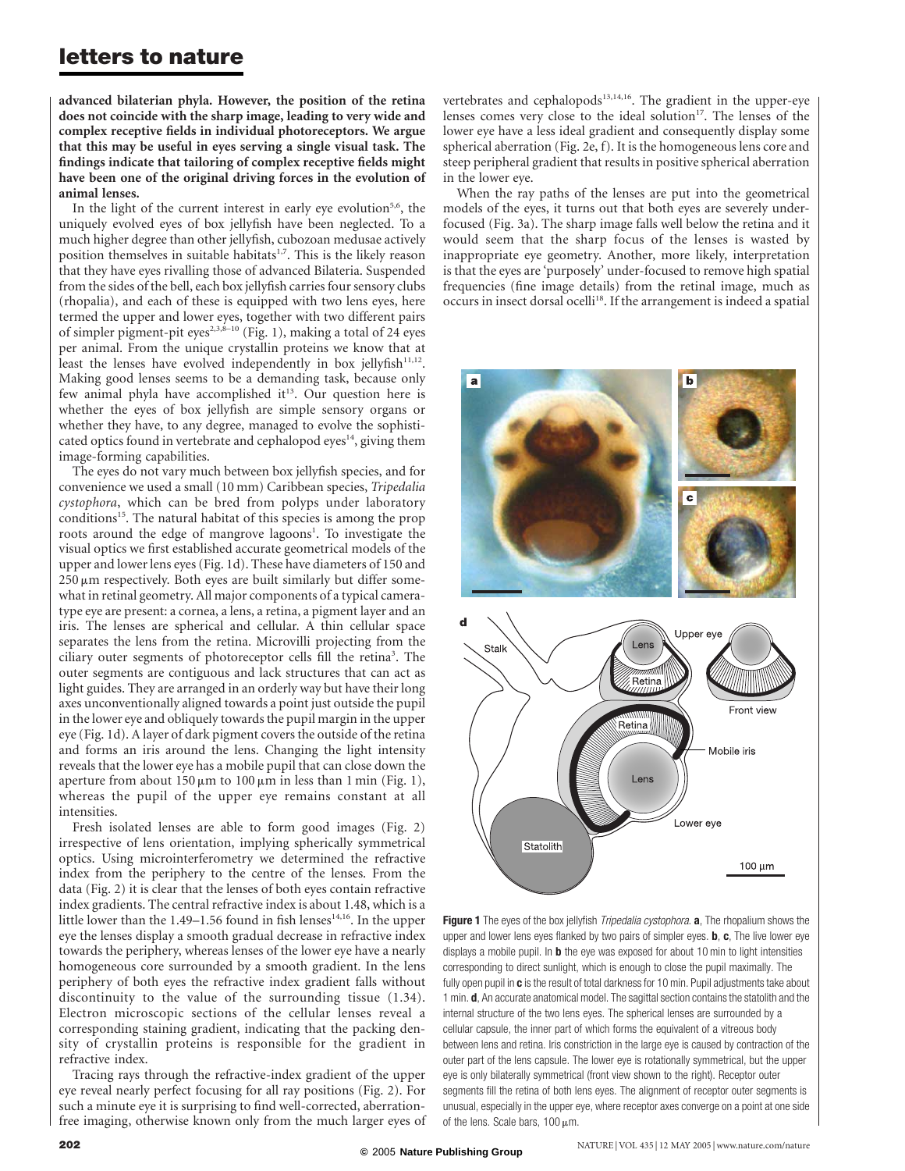advanced bilaterian phyla. However, the position of the retina does not coincide with the sharp image, leading to very wide and complex receptive fields in individual photoreceptors. We argue that this may be useful in eyes serving a single visual task. The findings indicate that tailoring of complex receptive fields might have been one of the original driving forces in the evolution of animal lenses.

In the light of the current interest in early eye evolution<sup>5,6</sup>, the uniquely evolved eyes of box jellyfish have been neglected. To a much higher degree than other jellyfish, cubozoan medusae actively position themselves in suitable habitats<sup>1,7</sup>. This is the likely reason that they have eyes rivalling those of advanced Bilateria. Suspended from the sides of the bell, each box jellyfish carries four sensory clubs (rhopalia), and each of these is equipped with two lens eyes, here termed the upper and lower eyes, together with two different pairs of simpler pigment-pit eyes<sup>2,3,8–10</sup> (Fig. 1), making a total of 24 eyes per animal. From the unique crystallin proteins we know that at least the lenses have evolved independently in box jellyfish $11,12$ . Making good lenses seems to be a demanding task, because only few animal phyla have accomplished it $13$ . Our question here is whether the eyes of box jellyfish are simple sensory organs or whether they have, to any degree, managed to evolve the sophisticated optics found in vertebrate and cephalopod eyes $14$ , giving them image-forming capabilities.

The eyes do not vary much between box jellyfish species, and for convenience we used a small (10 mm) Caribbean species, Tripedalia cystophora, which can be bred from polyps under laboratory conditions<sup>15</sup>. The natural habitat of this species is among the prop roots around the edge of mangrove lagoons<sup>1</sup>. To investigate the visual optics we first established accurate geometrical models of the upper and lower lens eyes (Fig. 1d). These have diameters of 150 and  $250 \mu m$  respectively. Both eyes are built similarly but differ somewhat in retinal geometry. All major components of a typical cameratype eye are present: a cornea, a lens, a retina, a pigment layer and an iris. The lenses are spherical and cellular. A thin cellular space separates the lens from the retina. Microvilli projecting from the ciliary outer segments of photoreceptor cells fill the retina<sup>3</sup>. The outer segments are contiguous and lack structures that can act as light guides. They are arranged in an orderly way but have their long axes unconventionally aligned towards a point just outside the pupil in the lower eye and obliquely towards the pupil margin in the upper eye (Fig. 1d). A layer of dark pigment covers the outside of the retina and forms an iris around the lens. Changing the light intensity reveals that the lower eye has a mobile pupil that can close down the aperture from about  $150 \mu m$  to  $100 \mu m$  in less than 1 min (Fig. 1), whereas the pupil of the upper eye remains constant at all intensities.

Fresh isolated lenses are able to form good images (Fig. 2) irrespective of lens orientation, implying spherically symmetrical optics. Using microinterferometry we determined the refractive index from the periphery to the centre of the lenses. From the data (Fig. 2) it is clear that the lenses of both eyes contain refractive index gradients. The central refractive index is about 1.48, which is a little lower than the  $1.49-1.56$  found in fish lenses<sup>14,16</sup>. In the upper eye the lenses display a smooth gradual decrease in refractive index towards the periphery, whereas lenses of the lower eye have a nearly homogeneous core surrounded by a smooth gradient. In the lens periphery of both eyes the refractive index gradient falls without discontinuity to the value of the surrounding tissue (1.34). Electron microscopic sections of the cellular lenses reveal a corresponding staining gradient, indicating that the packing density of crystallin proteins is responsible for the gradient in refractive index.

Tracing rays through the refractive-index gradient of the upper eye reveal nearly perfect focusing for all ray positions (Fig. 2). For such a minute eye it is surprising to find well-corrected, aberrationfree imaging, otherwise known only from the much larger eyes of

vertebrates and cephalopods $13,14,16$ . The gradient in the upper-eye lenses comes very close to the ideal solution<sup>17</sup>. The lenses of the lower eye have a less ideal gradient and consequently display some spherical aberration (Fig. 2e, f). It is the homogeneous lens core and steep peripheral gradient that results in positive spherical aberration in the lower eye.

When the ray paths of the lenses are put into the geometrical models of the eyes, it turns out that both eyes are severely underfocused (Fig. 3a). The sharp image falls well below the retina and it would seem that the sharp focus of the lenses is wasted by inappropriate eye geometry. Another, more likely, interpretation is that the eyes are 'purposely' under-focused to remove high spatial frequencies (fine image details) from the retinal image, much as occurs in insect dorsal ocelli<sup>18</sup>. If the arrangement is indeed a spatial



Figure 1 The eyes of the box jellyfish Tripedalia cystophora. a, The rhopalium shows the upper and lower lens eyes flanked by two pairs of simpler eyes. **,**  $**c**$ **, The live lower eye** displays a mobile pupil. In  **the eye was exposed for about 10 min to light intensities** corresponding to direct sunlight, which is enough to close the pupil maximally. The fully open pupil in c is the result of total darkness for 10 min. Pupil adjustments take about 1 min. d, An accurate anatomical model. The sagittal section contains the statolith and the internal structure of the two lens eyes. The spherical lenses are surrounded by a cellular capsule, the inner part of which forms the equivalent of a vitreous body between lens and retina. Iris constriction in the large eye is caused by contraction of the outer part of the lens capsule. The lower eye is rotationally symmetrical, but the upper eye is only bilaterally symmetrical (front view shown to the right). Receptor outer segments fill the retina of both lens eyes. The alignment of receptor outer segments is unusual, especially in the upper eye, where receptor axes converge on a point at one side of the lens. Scale bars,  $100 \mu m$ .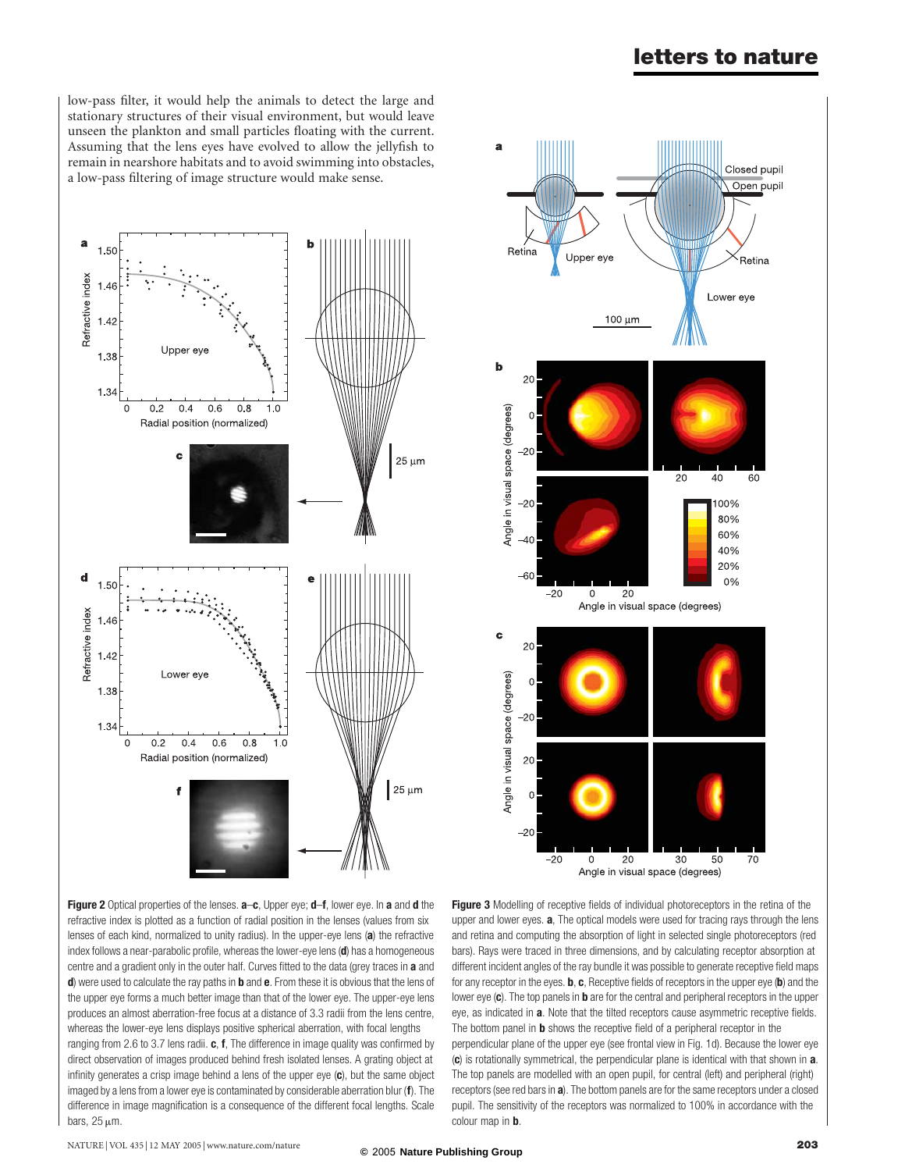low-pass filter, it would help the animals to detect the large and stationary structures of their visual environment, but would leave unseen the plankton and small particles floating with the current. Assuming that the lens eyes have evolved to allow the jellyfish to remain in nearshore habitats and to avoid swimming into obstacles, a low-pass filtering of image structure would make sense.





Figure 2 Optical properties of the lenses. a-c, Upper eye; d-f, lower eye. In a and d the refractive index is plotted as a function of radial position in the lenses (values from six lenses of each kind, normalized to unity radius). In the upper-eye lens (a) the refractive index follows a near-parabolic profile, whereas the lower-eye lens (d) has a homogeneous centre and a gradient only in the outer half. Curves fitted to the data (grey traces in a and d) were used to calculate the ray paths in **b** and **e**. From these it is obvious that the lens of the upper eye forms a much better image than that of the lower eye. The upper-eye lens produces an almost aberration-free focus at a distance of 3.3 radii from the lens centre, whereas the lower-eye lens displays positive spherical aberration, with focal lengths ranging from 2.6 to 3.7 lens radii.  $c$ , f, The difference in image quality was confirmed by direct observation of images produced behind fresh isolated lenses. A grating object at infinity generates a crisp image behind a lens of the upper eye (c), but the same object imaged by a lens from a lower eye is contaminated by considerable aberration blur (f). The difference in image magnification is a consequence of the different focal lengths. Scale bars,  $25 \mu m$ .

Figure 3 Modelling of receptive fields of individual photoreceptors in the retina of the upper and lower eyes. a, The optical models were used for tracing rays through the lens and retina and computing the absorption of light in selected single photoreceptors (red bars). Rays were traced in three dimensions, and by calculating receptor absorption at different incident angles of the ray bundle it was possible to generate receptive field maps for any receptor in the eyes.  $\mathbf{b}$ ,  $\mathbf{c}$ , Receptive fields of receptors in the upper eye  $(\mathbf{b})$  and the lower eye (c). The top panels in **b** are for the central and peripheral receptors in the upper eye, as indicated in a. Note that the tilted receptors cause asymmetric receptive fields. The bottom panel in **b** shows the receptive field of a peripheral receptor in the perpendicular plane of the upper eye (see frontal view in Fig. 1d). Because the lower eye (c) is rotationally symmetrical, the perpendicular plane is identical with that shown in a. The top panels are modelled with an open pupil, for central (left) and peripheral (right) receptors (see red bars in a). The bottom panels are for the same receptors under a closed pupil. The sensitivity of the receptors was normalized to 100% in accordance with the colour map in **b**.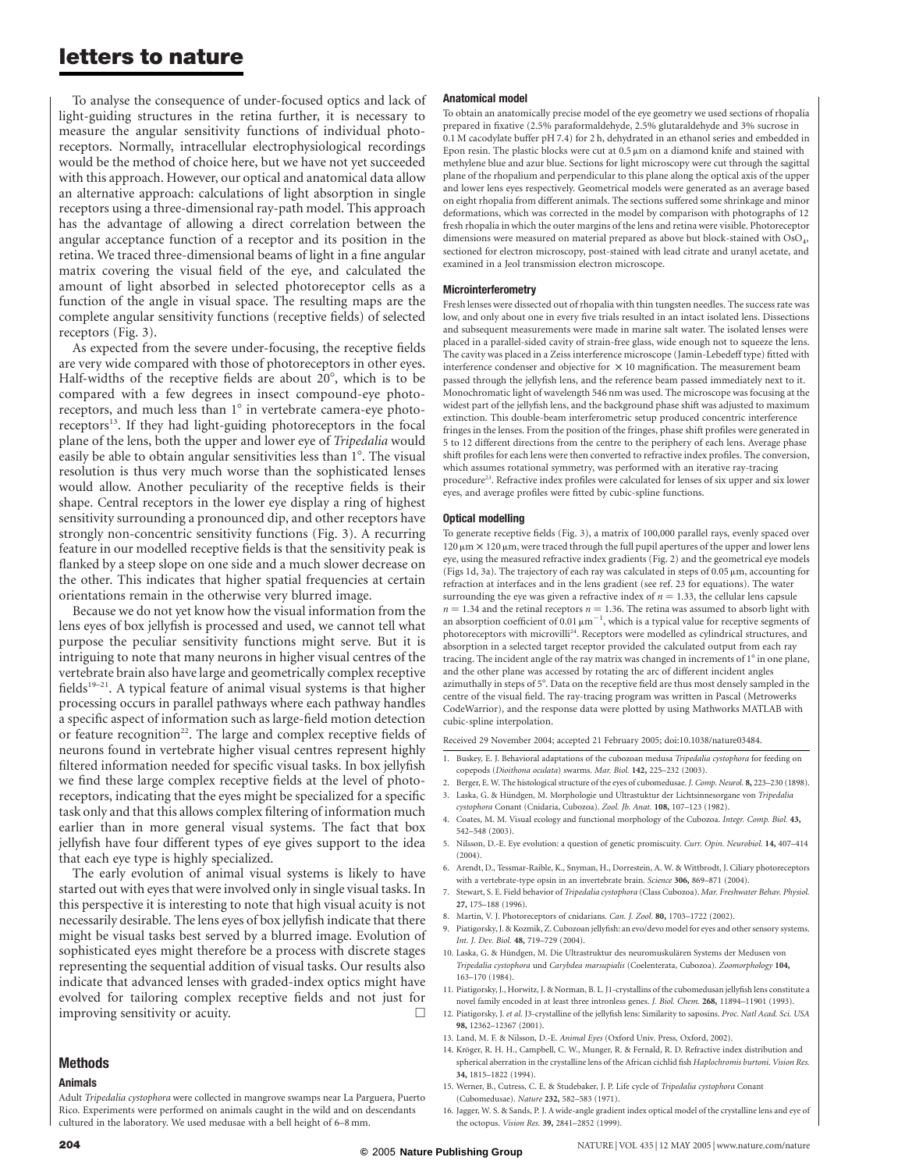To analyse the consequence of under-focused optics and lack of light-guiding structures in the retina further, it is necessary to measure the angular sensitivity functions of individual photoreceptors. Normally, intracellular electrophysiological recordings would be the method of choice here, but we have not yet succeeded with this approach. However, our optical and anatomical data allow an alternative approach: calculations of light absorption in single receptors using a three-dimensional ray-path model. This approach has the advantage of allowing a direct correlation between the angular acceptance function of a receptor and its position in the retina. We traced three-dimensional beams of light in a fine angular matrix covering the visual field of the eye, and calculated the amount of light absorbed in selected photoreceptor cells as a function of the angle in visual space. The resulting maps are the complete angular sensitivity functions (receptive fields) of selected receptors (Fig. 3).

As expected from the severe under-focusing, the receptive fields are very wide compared with those of photoreceptors in other eyes. Half-widths of the receptive fields are about  $20^{\circ}$ , which is to be compared with a few degrees in insect compound-eye photoreceptors, and much less than 1° in vertebrate camera-eye photoreceptors<sup>13</sup>. If they had light-guiding photoreceptors in the focal plane of the lens, both the upper and lower eye of Tripedalia would easily be able to obtain angular sensitivities less than 1°. The visual resolution is thus very much worse than the sophisticated lenses would allow. Another peculiarity of the receptive fields is their shape. Central receptors in the lower eye display a ring of highest sensitivity surrounding a pronounced dip, and other receptors have strongly non-concentric sensitivity functions (Fig. 3). A recurring feature in our modelled receptive fields is that the sensitivity peak is flanked by a steep slope on one side and a much slower decrease on the other. This indicates that higher spatial frequencies at certain orientations remain in the otherwise very blurred image.

Because we do not yet know how the visual information from the lens eyes of box jellyfish is processed and used, we cannot tell what purpose the peculiar sensitivity functions might serve. But it is intriguing to note that many neurons in higher visual centres of the vertebrate brain also have large and geometrically complex receptive fields<sup>19-21</sup>. A typical feature of animal visual systems is that higher processing occurs in parallel pathways where each pathway handles a specific aspect of information such as large-field motion detection or feature recognition<sup>22</sup>. The large and complex receptive fields of neurons found in vertebrate higher visual centres represent highly filtered information needed for specific visual tasks. In box jellyfish we find these large complex receptive fields at the level of photoreceptors, indicating that the eyes might be specialized for a specific task only and that this allows complex filtering of information much earlier than in more general visual systems. The fact that box jellyfish have four different types of eye gives support to the idea that each eye type is highly specialized.

The early evolution of animal visual systems is likely to have started out with eyes that were involved only in single visual tasks. In this perspective it is interesting to note that high visual acuity is not necessarily desirable. The lens eyes of box jellyfish indicate that there might be visual tasks best served by a blurred image. Evolution of sophisticated eyes might therefore be a process with discrete stages representing the sequential addition of visual tasks. Our results also indicate that advanced lenses with graded-index optics might have evolved for tailoring complex receptive fields and not just for improving sensitivity or acuity.

### Methods

#### Animals

Adult Tripedalia cystophora were collected in mangrove swamps near La Parguera, Puerto Rico. Experiments were performed on animals caught in the wild and on descendants cultured in the laboratory. We used medusae with a bell height of 6–8 mm.

#### Anatomical model

To obtain an anatomically precise model of the eye geometry we used sections of rhopalia prepared in fixative (2.5% paraformaldehyde, 2.5% glutaraldehyde and 3% sucrose in 0.1 M cacodylate buffer pH 7.4) for 2 h, dehydrated in an ethanol series and embedded in Epon resin. The plastic blocks were cut at  $0.5 \mu m$  on a diamond knife and stained with methylene blue and azur blue. Sections for light microscopy were cut through the sagittal plane of the rhopalium and perpendicular to this plane along the optical axis of the upper and lower lens eyes respectively. Geometrical models were generated as an average based on eight rhopalia from different animals. The sections suffered some shrinkage and minor deformations, which was corrected in the model by comparison with photographs of 12 fresh rhopalia in which the outer margins of the lens and retina were visible. Photoreceptor dimensions were measured on material prepared as above but block-stained with OsO4, sectioned for electron microscopy, post-stained with lead citrate and uranyl acetate, and examined in a Jeol transmission electron microscope.

#### **Microinterferometry**

Fresh lenses were dissected out of rhopalia with thin tungsten needles. The success rate was low, and only about one in every five trials resulted in an intact isolated lens. Dissections and subsequent measurements were made in marine salt water. The isolated lenses were placed in a parallel-sided cavity of strain-free glass, wide enough not to squeeze the lens. The cavity was placed in a Zeiss interference microscope (Jamin-Lebedeff type) fitted with interference condenser and objective for  $\times$  10 magnification. The measurement beam passed through the jellyfish lens, and the reference beam passed immediately next to it. Monochromatic light of wavelength 546 nm was used. The microscope was focusing at the widest part of the jellyfish lens, and the background phase shift was adjusted to maximum extinction. This double-beam interferometric setup produced concentric interference fringes in the lenses. From the position of the fringes, phase shift profiles were generated in 5 to 12 different directions from the centre to the periphery of each lens. Average phase shift profiles for each lens were then converted to refractive index profiles. The conversion, which assumes rotational symmetry, was performed with an iterative ray-tracing procedure<sup>23</sup>. Refractive index profiles were calculated for lenses of six upper and six lower eyes, and average profiles were fitted by cubic-spline functions.

#### Optical modelling

To generate receptive fields (Fig. 3), a matrix of 100,000 parallel rays, evenly spaced over  $120 \,\mu\mathrm{m} \times 120 \,\mu\mathrm{m}$ , were traced through the full pupil apertures of the upper and lower lens eye, using the measured refractive index gradients (Fig. 2) and the geometrical eye models (Figs 1d, 3a). The trajectory of each ray was calculated in steps of 0.05  $\mu$ m, accounting for refraction at interfaces and in the lens gradient (see ref. 23 for equations). The water surrounding the eye was given a refractive index of  $n = 1.33$ , the cellular lens capsule  $n = 1.34$  and the retinal receptors  $n = 1.36$ . The retina was assumed to absorb light with an absorption coefficient of  $0.01 \,\mathrm{\mu m}^{-1}$ , which is a typical value for receptive segments of photoreceptors with microvilli<sup>24</sup>. Receptors were modelled as cylindrical structures, and absorption in a selected target receptor provided the calculated output from each ray tracing. The incident angle of the ray matrix was changed in increments of  $1^{\circ}$  in one plane, and the other plane was accessed by rotating the arc of different incident angles azimuthally in steps of 5°. Data on the receptive field are thus most densely sampled in the centre of the visual field. The ray-tracing program was written in Pascal (Metrowerks CodeWarrior), and the response data were plotted by using Mathworks MATLAB with cubic-spline interpolation.

Received 29 November 2004; accepted 21 February 2005; doi:10.1038/nature03484.

- 1. Buskey, E. J. Behavioral adaptations of the cubozoan medusa Tripedalia cystophora for feeding on copepods (Dioithona oculata) swarms. Mar. Biol. 142, 225–232 (2003).
- 2. Berger, E. W. The histological structure of the eyes of cubomedusae. J. Comp. Neurol. 8, 223–230 (1898). 3. Laska, G. & Hündgen, M. Morphologie und Ultrastuktur der Lichtsinnesorgane von Tripedalia
- cystophora Conant (Cnidaria, Cubozoa). Zool. Jb. Anat. 108, 107–123 (1982).
- 4. Coates, M. M. Visual ecology and functional morphology of the Cubozoa. Integr. Comp. Biol. 43, 542–548 (2003).
- 5. Nilsson, D.-E. Eye evolution: a question of genetic promiscuity. Curr. Opin. Neurobiol. 14, 407–414 (2004).
- 6. Arendt, D., Tessmar-Raible, K., Snyman, H., Dorrestein, A. W. & Wittbrodt, J. Ciliary photoreceptors with a vertebrate-type opsin in an invertebrate brain. Science 306, 869–871 (2004).
- 7. Stewart, S. E. Field behavior of Tripedalia cystophora (Class Cubozoa). Mar. Freshwater Behav. Physiol. 27, 175–188 (1996).
- 8. Martin, V. J. Photoreceptors of cnidarians. Can. J. Zool. 80, 1703-1722 (2002).
- 9. Piatigorsky, J. & Kozmik, Z. Cubozoan jellyfish: an evo/devo model for eyes and other sensory systems. Int. J. Dev. Biol. 48, 719–729 (2004).
- 10. Laska, G. & Hündgen, M. Die Ultrastruktur des neuromuskulären Systems der Medusen von Tripedalia cystophora und Carybdea marsupialis (Coelenterata, Cubozoa). Zoomorphology 104, 163–170 (1984).
- 11. Piatigorsky, J., Horwitz, J. & Norman, B. L. J1-crystallins of the cubomedusan jellyfish lens constitute a novel family encoded in at least three intronless genes. J. Biol. Chem. 268, 11894–11901 (1993).
- 12. Piatigorsky, J. et al. J3-crystalline of the jellyfish lens: Similarity to saposins. Proc. Natl Acad. Sci. USA 98, 12362–12367 (2001).
- 13. Land, M. F. & Nilsson, D.-E. Animal Eyes (Oxford Univ. Press, Oxford, 2002).
- 14. Kröger, R. H. H., Campbell, C. W., Munger, R. & Fernald, R. D. Refractive index distribution and spherical aberration in the crystalline lens of the African cichlid fish Haplochromis burtoni. Vision Res. 34, 1815–1822 (1994).
- 15. Werner, B., Cutress, C. E. & Studebaker, J. P. Life cycle of Tripedalia cystophora Conant (Cubomedusae). Nature 232, 582–583 (1971).
- 16. Jagger, W. S. & Sands, P. J. A wide-angle gradient index optical model of the crystalline lens and eye of the octopus. Vision Res. 39, 2841–2852 (1999).